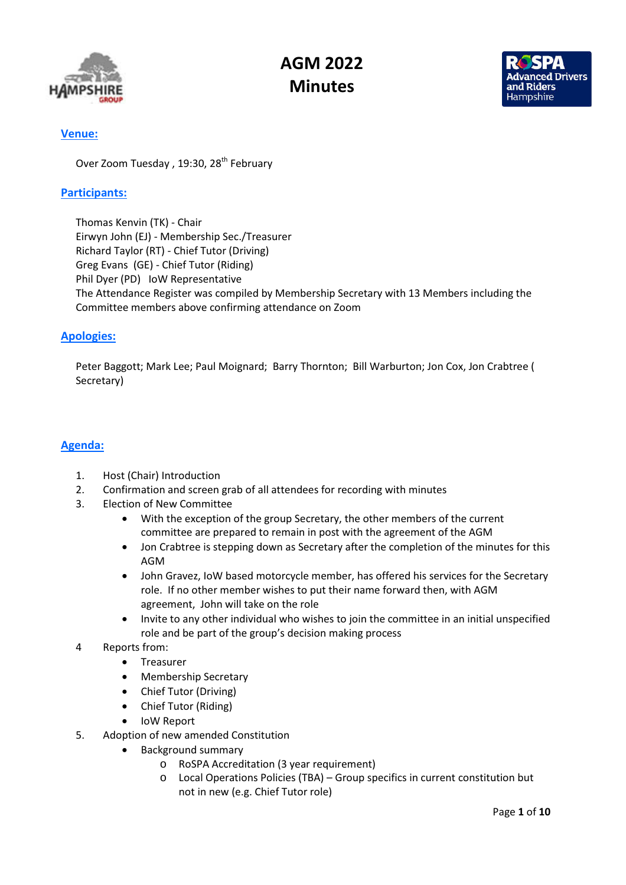



### Venue:

Over Zoom Tuesday, 19:30, 28<sup>th</sup> February

### Participants:

Thomas Kenvin (TK) - Chair Eirwyn John (EJ) - Membership Sec./Treasurer Richard Taylor (RT) - Chief Tutor (Driving) Greg Evans (GE) - Chief Tutor (Riding) Phil Dyer (PD) IoW Representative The Attendance Register was compiled by Membership Secretary with 13 Members including the Committee members above confirming attendance on Zoom

### Apologies:

Peter Baggott; Mark Lee; Paul Moignard; Barry Thornton; Bill Warburton; Jon Cox, Jon Crabtree ( Secretary)

## Agenda:

- 1. Host (Chair) Introduction
- 2. Confirmation and screen grab of all attendees for recording with minutes
- 3. Election of New Committee
	- With the exception of the group Secretary, the other members of the current committee are prepared to remain in post with the agreement of the AGM
	- Jon Crabtree is stepping down as Secretary after the completion of the minutes for this AGM
	- John Gravez, IoW based motorcycle member, has offered his services for the Secretary role. If no other member wishes to put their name forward then, with AGM agreement, John will take on the role
	- Invite to any other individual who wishes to join the committee in an initial unspecified role and be part of the group's decision making process
- 4 Reports from:
	- Treasurer
	- Membership Secretary
	- Chief Tutor (Driving)
	- Chief Tutor (Riding)
	- IoW Report
- 5. Adoption of new amended Constitution
	- Background summary
		- o RoSPA Accreditation (3 year requirement)
		- o Local Operations Policies (TBA) Group specifics in current constitution but not in new (e.g. Chief Tutor role)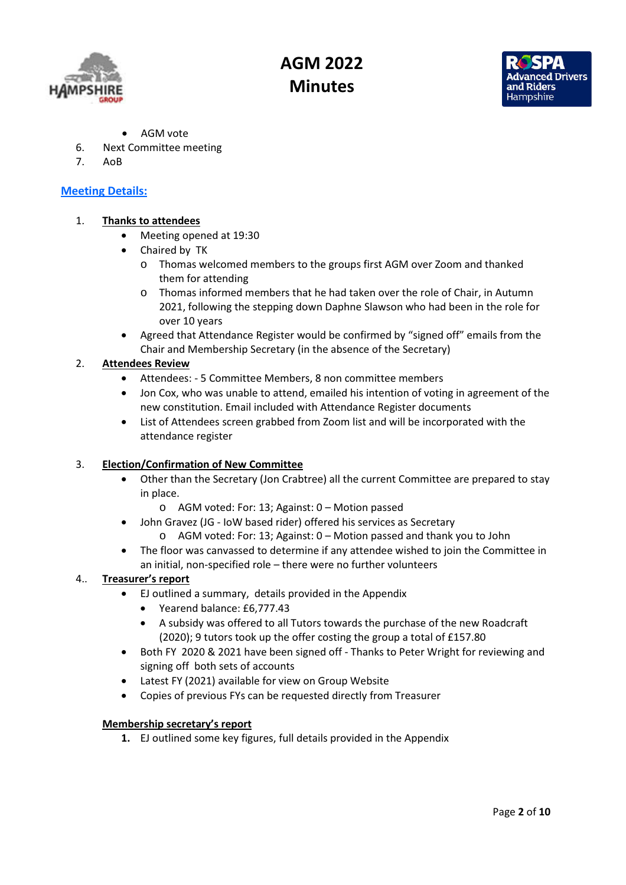



- AGM vote
- 6. Next Committee meeting
- 7. AoB

## Meeting Details:

### 1. Thanks to attendees

- Meeting opened at 19:30
- Chaired by TK
	- o Thomas welcomed members to the groups first AGM over Zoom and thanked them for attending
	- o Thomas informed members that he had taken over the role of Chair, in Autumn 2021, following the stepping down Daphne Slawson who had been in the role for over 10 years
- Agreed that Attendance Register would be confirmed by "signed off" emails from the Chair and Membership Secretary (in the absence of the Secretary)

### 2. Attendees Review

- Attendees: 5 Committee Members, 8 non committee members
- Jon Cox, who was unable to attend, emailed his intention of voting in agreement of the new constitution. Email included with Attendance Register documents
- List of Attendees screen grabbed from Zoom list and will be incorporated with the attendance register

#### 3. Election/Confirmation of New Committee

- Other than the Secretary (Jon Crabtree) all the current Committee are prepared to stay in place.
	- o AGM voted: For: 13; Against: 0 Motion passed
- John Gravez (JG IoW based rider) offered his services as Secretary
	- o AGM voted: For: 13; Against: 0 Motion passed and thank you to John
- The floor was canvassed to determine if any attendee wished to join the Committee in an initial, non-specified role – there were no further volunteers

### 4.. Treasurer's report

- EJ outlined a summary, details provided in the Appendix
	- Yearend balance: £6,777.43
	- A subsidy was offered to all Tutors towards the purchase of the new Roadcraft (2020); 9 tutors took up the offer costing the group a total of £157.80
- Both FY 2020 & 2021 have been signed off Thanks to Peter Wright for reviewing and signing off both sets of accounts
- Latest FY (2021) available for view on Group Website
- Copies of previous FYs can be requested directly from Treasurer

#### Membership secretary's report

1. EJ outlined some key figures, full details provided in the Appendix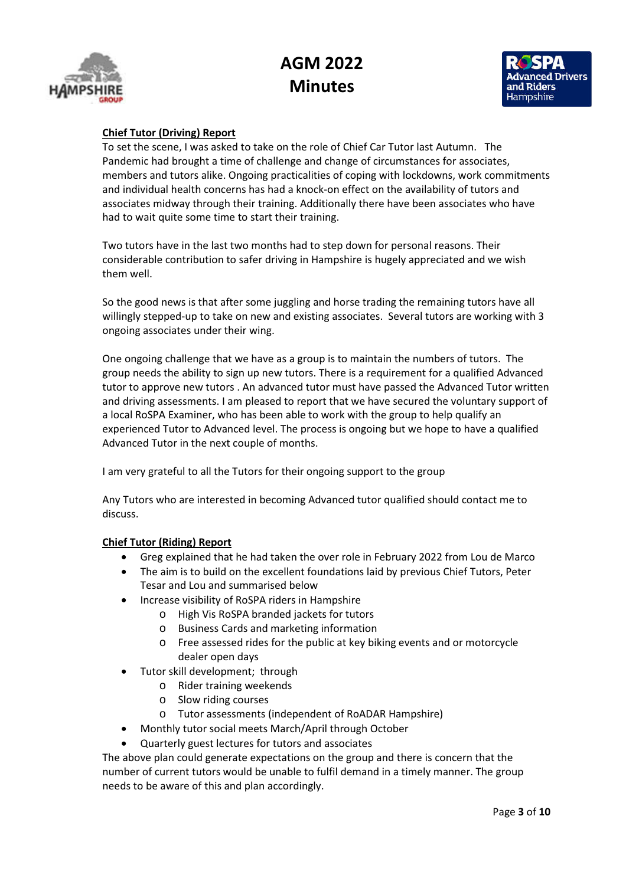



### Chief Tutor (Driving) Report

To set the scene, I was asked to take on the role of Chief Car Tutor last Autumn. The Pandemic had brought a time of challenge and change of circumstances for associates, members and tutors alike. Ongoing practicalities of coping with lockdowns, work commitments and individual health concerns has had a knock-on effect on the availability of tutors and associates midway through their training. Additionally there have been associates who have had to wait quite some time to start their training.

Two tutors have in the last two months had to step down for personal reasons. Their considerable contribution to safer driving in Hampshire is hugely appreciated and we wish them well.

So the good news is that after some juggling and horse trading the remaining tutors have all willingly stepped-up to take on new and existing associates. Several tutors are working with 3 ongoing associates under their wing.

One ongoing challenge that we have as a group is to maintain the numbers of tutors. The group needs the ability to sign up new tutors. There is a requirement for a qualified Advanced tutor to approve new tutors . An advanced tutor must have passed the Advanced Tutor written and driving assessments. I am pleased to report that we have secured the voluntary support of a local RoSPA Examiner, who has been able to work with the group to help qualify an experienced Tutor to Advanced level. The process is ongoing but we hope to have a qualified Advanced Tutor in the next couple of months.

I am very grateful to all the Tutors for their ongoing support to the group

Any Tutors who are interested in becoming Advanced tutor qualified should contact me to discuss.

#### Chief Tutor (Riding) Report

- Greg explained that he had taken the over role in February 2022 from Lou de Marco
- The aim is to build on the excellent foundations laid by previous Chief Tutors, Peter Tesar and Lou and summarised below
- Increase visibility of RoSPA riders in Hampshire
	- o High Vis RoSPA branded jackets for tutors
	- o Business Cards and marketing information
	- o Free assessed rides for the public at key biking events and or motorcycle dealer open days
- Tutor skill development; through
	- o Rider training weekends
	- o Slow riding courses
	- o Tutor assessments (independent of RoADAR Hampshire)
- Monthly tutor social meets March/April through October
- Quarterly guest lectures for tutors and associates

The above plan could generate expectations on the group and there is concern that the number of current tutors would be unable to fulfil demand in a timely manner. The group needs to be aware of this and plan accordingly.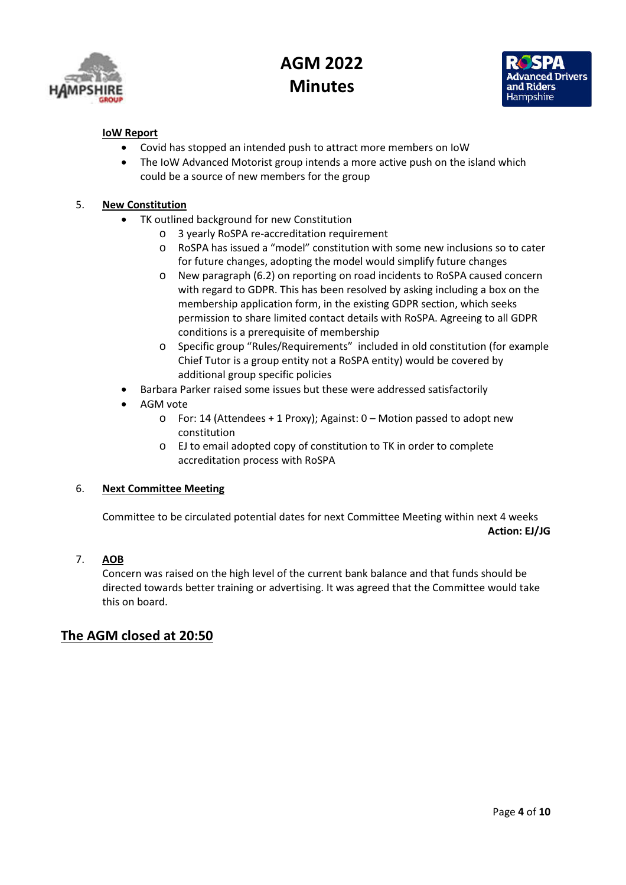



### IoW Report

- Covid has stopped an intended push to attract more members on IoW
- The IoW Advanced Motorist group intends a more active push on the island which could be a source of new members for the group

### 5. New Constitution

- TK outlined background for new Constitution
	- o 3 yearly RoSPA re-accreditation requirement
	- o RoSPA has issued a "model" constitution with some new inclusions so to cater for future changes, adopting the model would simplify future changes
	- o New paragraph (6.2) on reporting on road incidents to RoSPA caused concern with regard to GDPR. This has been resolved by asking including a box on the membership application form, in the existing GDPR section, which seeks permission to share limited contact details with RoSPA. Agreeing to all GDPR conditions is a prerequisite of membership
	- o Specific group "Rules/Requirements" included in old constitution (for example Chief Tutor is a group entity not a RoSPA entity) would be covered by additional group specific policies
- Barbara Parker raised some issues but these were addressed satisfactorily
- AGM vote
	- o For: 14 (Attendees + 1 Proxy); Against: 0 Motion passed to adopt new constitution
	- o EJ to email adopted copy of constitution to TK in order to complete accreditation process with RoSPA

### 6. Next Committee Meeting

Committee to be circulated potential dates for next Committee Meeting within next 4 weeks Action: EJ/JG

### 7. AOB

Concern was raised on the high level of the current bank balance and that funds should be directed towards better training or advertising. It was agreed that the Committee would take this on board.

## The AGM closed at 20:50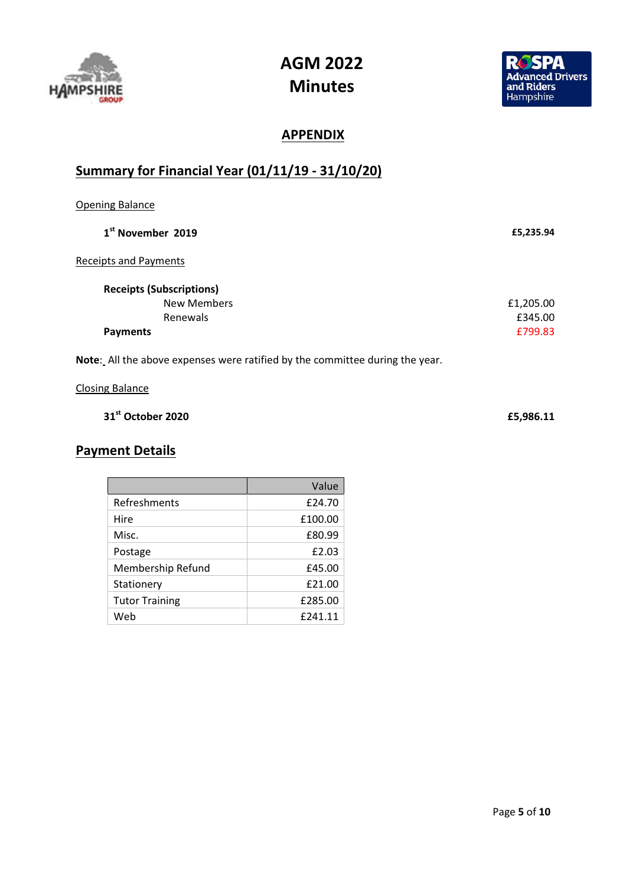



# **APPENDIX**

# Summary for Financial Year (01/11/19 - 31/10/20)

| <b>Opening Balance</b>                                                       |           |
|------------------------------------------------------------------------------|-----------|
| 1 <sup>st</sup> November 2019                                                | £5,235.94 |
| <b>Receipts and Payments</b>                                                 |           |
| <b>Receipts (Subscriptions)</b>                                              |           |
| <b>New Members</b>                                                           | £1,205.00 |
| Renewals                                                                     | £345.00   |
| <b>Payments</b>                                                              | £799.83   |
| Note: All the above expenses were ratified by the committee during the year. |           |
| <b>Closing Balance</b>                                                       |           |

| £5,986.11 |
|-----------|
|           |
|           |

# Payment Details

|                       | Value   |
|-----------------------|---------|
| Refreshments          | £24.70  |
| Hire                  | £100.00 |
| Misc.                 | £80.99  |
| Postage               | £2.03   |
| Membership Refund     | £45.00  |
| Stationery            | £21.00  |
| <b>Tutor Training</b> | £285.00 |
| Web                   | £241.11 |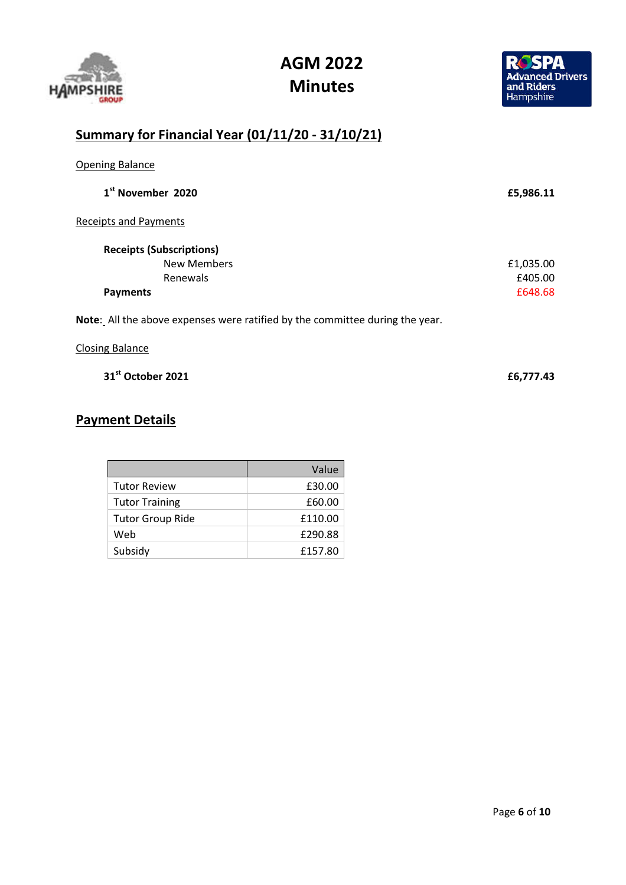



# Summary for Financial Year (01/11/20 - 31/10/21)

| <b>Opening Balance</b>                                                       |           |
|------------------------------------------------------------------------------|-----------|
| 1 <sup>st</sup> November 2020                                                | £5,986.11 |
| Receipts and Payments                                                        |           |
| <b>Receipts (Subscriptions)</b>                                              |           |
| <b>New Members</b>                                                           | £1,035.00 |
| Renewals                                                                     | £405.00   |
| <b>Payments</b>                                                              | £648.68   |
| Note: All the above expenses were ratified by the committee during the year. |           |
| <b>Closing Balance</b>                                                       |           |

 $31^{\text{st}}$  October 2021 **E**6,777.43

## Payment Details

|                         | Value   |
|-------------------------|---------|
| <b>Tutor Review</b>     | £30.00  |
| <b>Tutor Training</b>   | £60.00  |
| <b>Tutor Group Ride</b> | £110.00 |
| Web                     | £290.88 |
| Subsidy                 | £157.80 |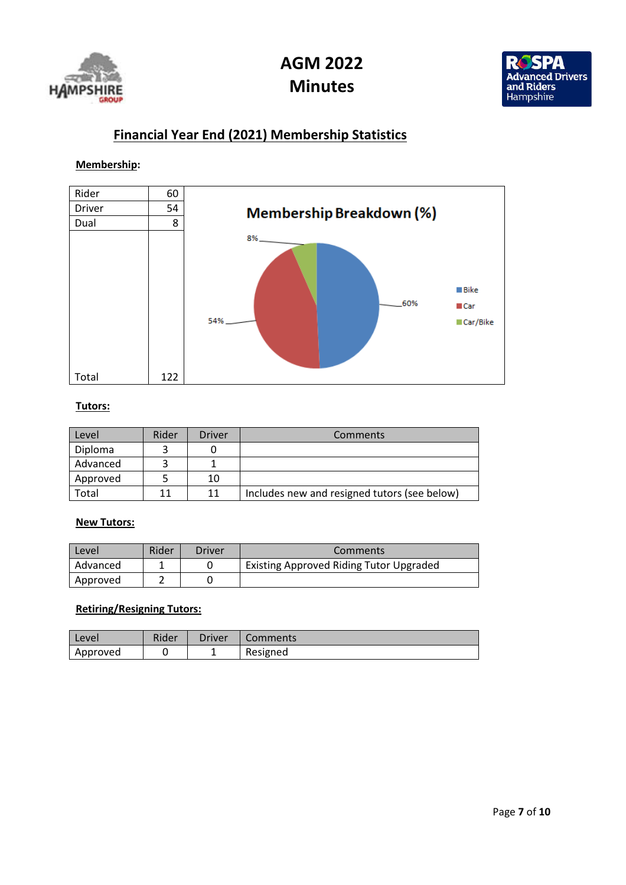



## Financial Year End (2021) Membership Statistics

### Membership:



### Tutors:

| Level    | Rider | <b>Driver</b> | <b>Comments</b>                              |
|----------|-------|---------------|----------------------------------------------|
| Diploma  |       |               |                                              |
| Advanced |       |               |                                              |
| Approved |       | 10            |                                              |
| Total    |       | 11            | Includes new and resigned tutors (see below) |

#### **New Tutors:**

| Level    | Rider | Driver | Comments                                       |
|----------|-------|--------|------------------------------------------------|
| Advanced |       |        | <b>Existing Approved Riding Tutor Upgraded</b> |
| Approved |       |        |                                                |

### Retiring/Resigning Tutors:

| l Level  | Rider | Driver | Comments |
|----------|-------|--------|----------|
| Approved |       |        | Resigned |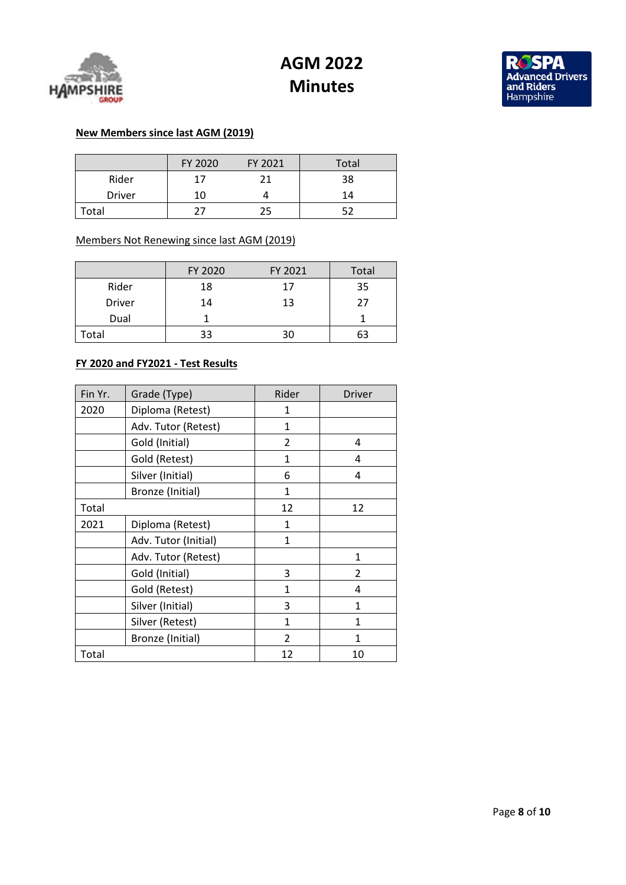



### New Members since last AGM (2019)

|               | FY 2020 | FY 2021 | Total |
|---------------|---------|---------|-------|
| Rider         | 17      | 21      | 38    |
| <b>Driver</b> | 10      |         |       |
| Total         |         | 25      |       |

### Members Not Renewing since last AGM (2019)

|               | FY 2020 | FY 2021 | Total |
|---------------|---------|---------|-------|
| Rider         | 18      | 17      | 35    |
| <b>Driver</b> | 14      | 13      | 27    |
| Dual          |         |         |       |
| Total         | 33      |         | 63    |

#### FY 2020 and FY2021 - Test Results

| Fin Yr. | Grade (Type)         | Rider         | Driver |
|---------|----------------------|---------------|--------|
| 2020    | Diploma (Retest)     | 1             |        |
|         | Adv. Tutor (Retest)  | 1             |        |
|         | Gold (Initial)       | 2             | 4      |
|         | Gold (Retest)        | 1             | 4      |
|         | Silver (Initial)     | 6             | 4      |
|         | Bronze (Initial)     | 1             |        |
| Total   |                      | 12            | 12     |
| 2021    | Diploma (Retest)     | 1             |        |
|         | Adv. Tutor (Initial) | 1             |        |
|         | Adv. Tutor (Retest)  |               | 1      |
|         | Gold (Initial)       | 3             | 2      |
|         | Gold (Retest)        | 1             | 4      |
|         | Silver (Initial)     | 3             | 1      |
|         | Silver (Retest)      | 1             | 1      |
|         | Bronze (Initial)     | $\mathcal{P}$ | 1      |
| Total   |                      | 12            | 10     |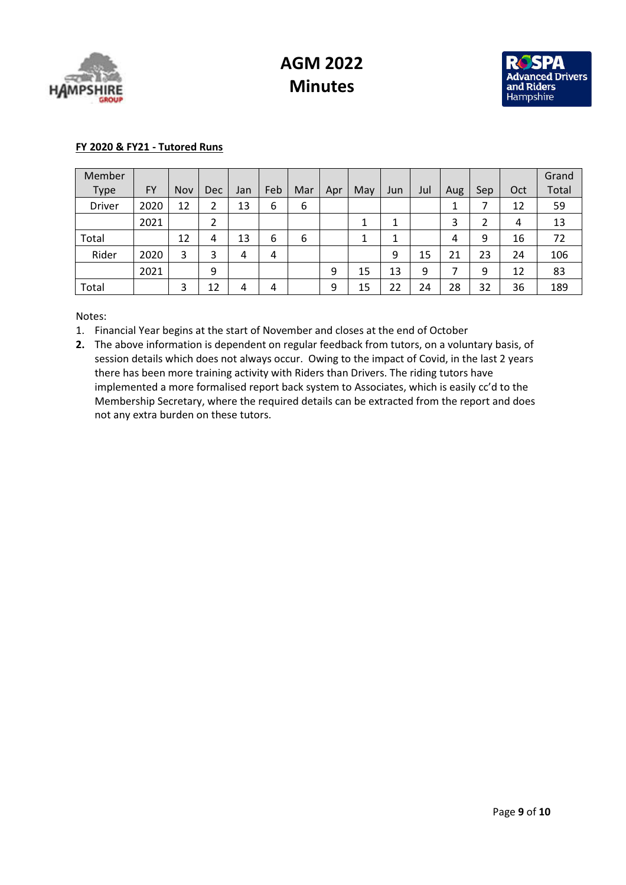



### FY 2020 & FY21 - Tutored Runs

| Member        |           |     |            |     |     |     |     |     |         |     |        |     |     | Grand |
|---------------|-----------|-----|------------|-----|-----|-----|-----|-----|---------|-----|--------|-----|-----|-------|
| Type          | <b>FY</b> | Nov | <b>Dec</b> | Jan | Feb | Mar | Apr | May | Jun     | Jul | Aug    | Sep | Oct | Total |
| <b>Driver</b> | 2020      | 12  | 2          | 13  | 6   | 6   |     |     |         |     | 1<br>┻ |     | 12  | 59    |
|               | 2021      |     | 2          |     |     |     |     | J.  | 1<br>J. |     | 3      | 2   | 4   | 13    |
| Total         |           | 12  | 4          | 13  | 6   | 6   |     | J.  | 1       |     | 4      | 9   | 16  | 72    |
| Rider         | 2020      | 3   | 3          | 4   | 4   |     |     |     | 9       | 15  | 21     | 23  | 24  | 106   |
|               | 2021      |     | 9          |     |     |     | 9   | 15  | 13      | 9   |        | 9   | 12  | 83    |
| Total         |           | 3   | 12         | 4   | 4   |     | 9   | 15  | 22      | 24  | 28     | 32  | 36  | 189   |

Notes:

- 1. Financial Year begins at the start of November and closes at the end of October
- 2. The above information is dependent on regular feedback from tutors, on a voluntary basis, of session details which does not always occur. Owing to the impact of Covid, in the last 2 years there has been more training activity with Riders than Drivers. The riding tutors have implemented a more formalised report back system to Associates, which is easily cc'd to the Membership Secretary, where the required details can be extracted from the report and does not any extra burden on these tutors.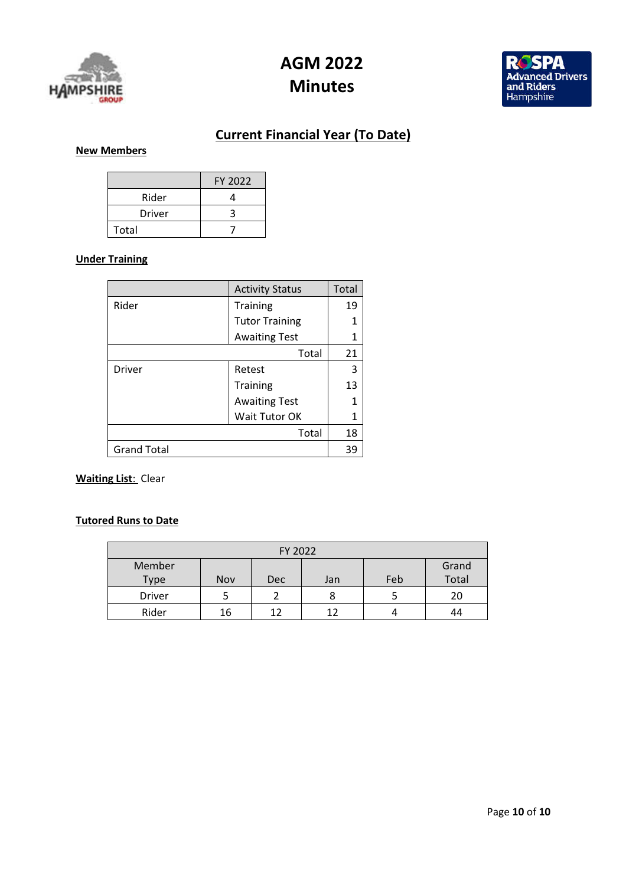



# Current Financial Year (To Date)

## New Members

|        | FY 2022 |
|--------|---------|
| Rider  |         |
| Driver |         |
| Total  |         |

#### Under Training

|                    | <b>Activity Status</b> | Total |
|--------------------|------------------------|-------|
| Rider              | <b>Training</b>        | 19    |
|                    | <b>Tutor Training</b>  | 1     |
|                    | <b>Awaiting Test</b>   | 1     |
|                    | Total                  | 21    |
| <b>Driver</b>      | Retest                 | 3     |
|                    | Training               | 13    |
|                    | <b>Awaiting Test</b>   | 1     |
|                    | Wait Tutor OK          | 1     |
|                    | Total                  | 18    |
| <b>Grand Total</b> |                        | 39    |

### **Waiting List: Clear**

### Tutored Runs to Date

| FY 2022     |     |     |     |     |       |
|-------------|-----|-----|-----|-----|-------|
| Member      |     |     |     |     | Grand |
| <b>Type</b> | Nov | Dec | Jan | Feb | Total |
| Driver      |     |     | 8   |     | 20    |
| Rider       | 16  | 1 フ | 12  |     | 44    |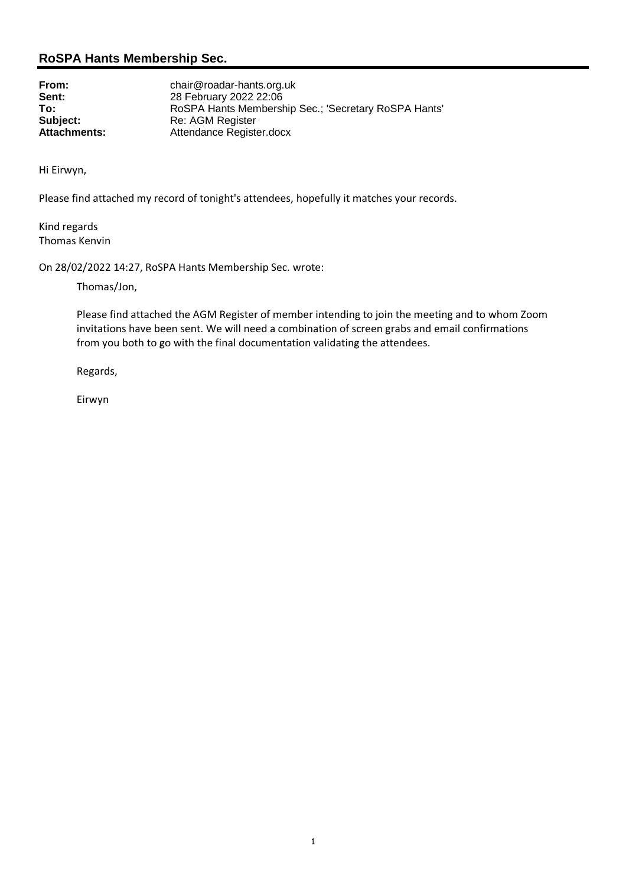### **RoSPA Hants Membership Sec.**

From:<br> **Sent:**<br>
28 February 2022 22:06 **Sent:** 28 February 2022 22:06 **To:** RoSPA Hants Membership Sec.; 'Secretary RoSPA Hants'<br>
Re: AGM Register<br>
Re: AGM Register **Subject:** Re: AGM Register<br> **Attachments:** Attendance Registe **Attendance Register.docx** 

Hi Eirwyn,

Please find attached my record of tonight's attendees, hopefully it matches your records.

Kind regards Thomas Kenvin

On 28/02/2022 14:27, RoSPA Hants Membership Sec. wrote:

Thomas/Jon,

Please find attached the AGM Register of member intending to join the meeting and to whom Zoom invitations have been sent. We will need a combination of screen grabs and email confirmations from you both to go with the final documentation validating the attendees.

Regards,

Eirwyn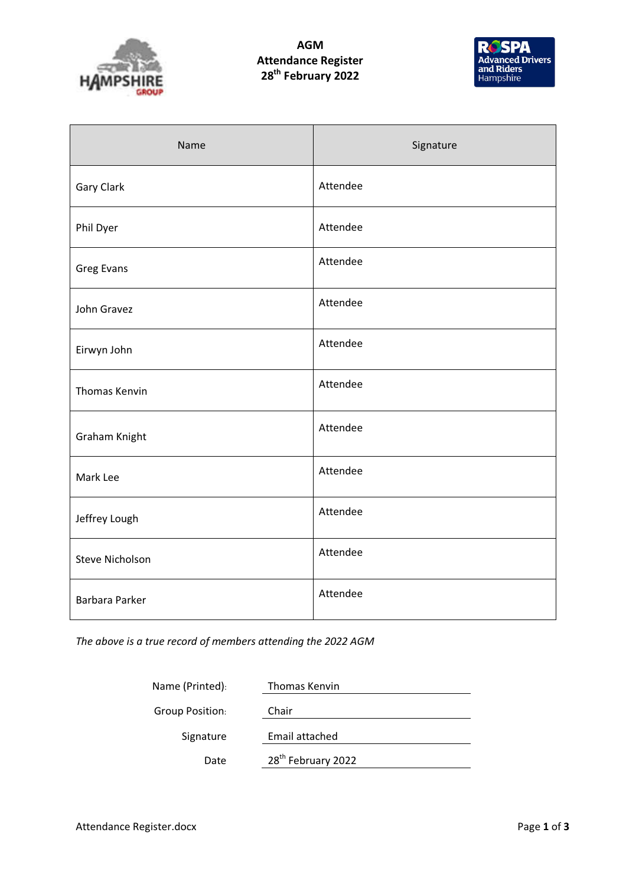

## AGM Attendance Register 28<sup>th</sup> February 2022



| Name                   | Signature |
|------------------------|-----------|
| Gary Clark             | Attendee  |
| Phil Dyer              | Attendee  |
| <b>Greg Evans</b>      | Attendee  |
| John Gravez            | Attendee  |
| Eirwyn John            | Attendee  |
| <b>Thomas Kenvin</b>   | Attendee  |
| Graham Knight          | Attendee  |
| Mark Lee               | Attendee  |
| Jeffrey Lough          | Attendee  |
| <b>Steve Nicholson</b> | Attendee  |
| <b>Barbara Parker</b>  | Attendee  |

The above is a true record of members attending the 2022 AGM

| Name (Printed):        | Thomas Kenvin                  |
|------------------------|--------------------------------|
| <b>Group Position:</b> | Chair                          |
| Signature              | Email attached                 |
| Date                   | 28 <sup>th</sup> February 2022 |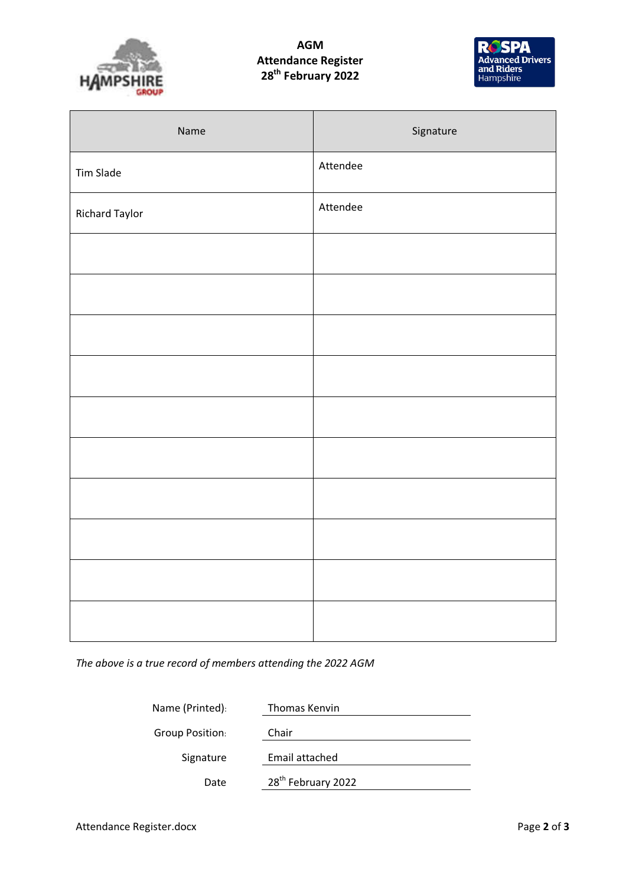

## AGM Attendance Register 28<sup>th</sup> February 2022



| Name           | Signature |
|----------------|-----------|
| Tim Slade      | Attendee  |
| Richard Taylor | Attendee  |
|                |           |
|                |           |
|                |           |
|                |           |
|                |           |
|                |           |
|                |           |
|                |           |
|                |           |
|                |           |

The above is a true record of members attending the 2022 AGM

| Name (Printed): | Thomas Kenvin                  |
|-----------------|--------------------------------|
| Group Position: | Chair                          |
| Signature       | Email attached                 |
| Date            | 28 <sup>th</sup> February 2022 |